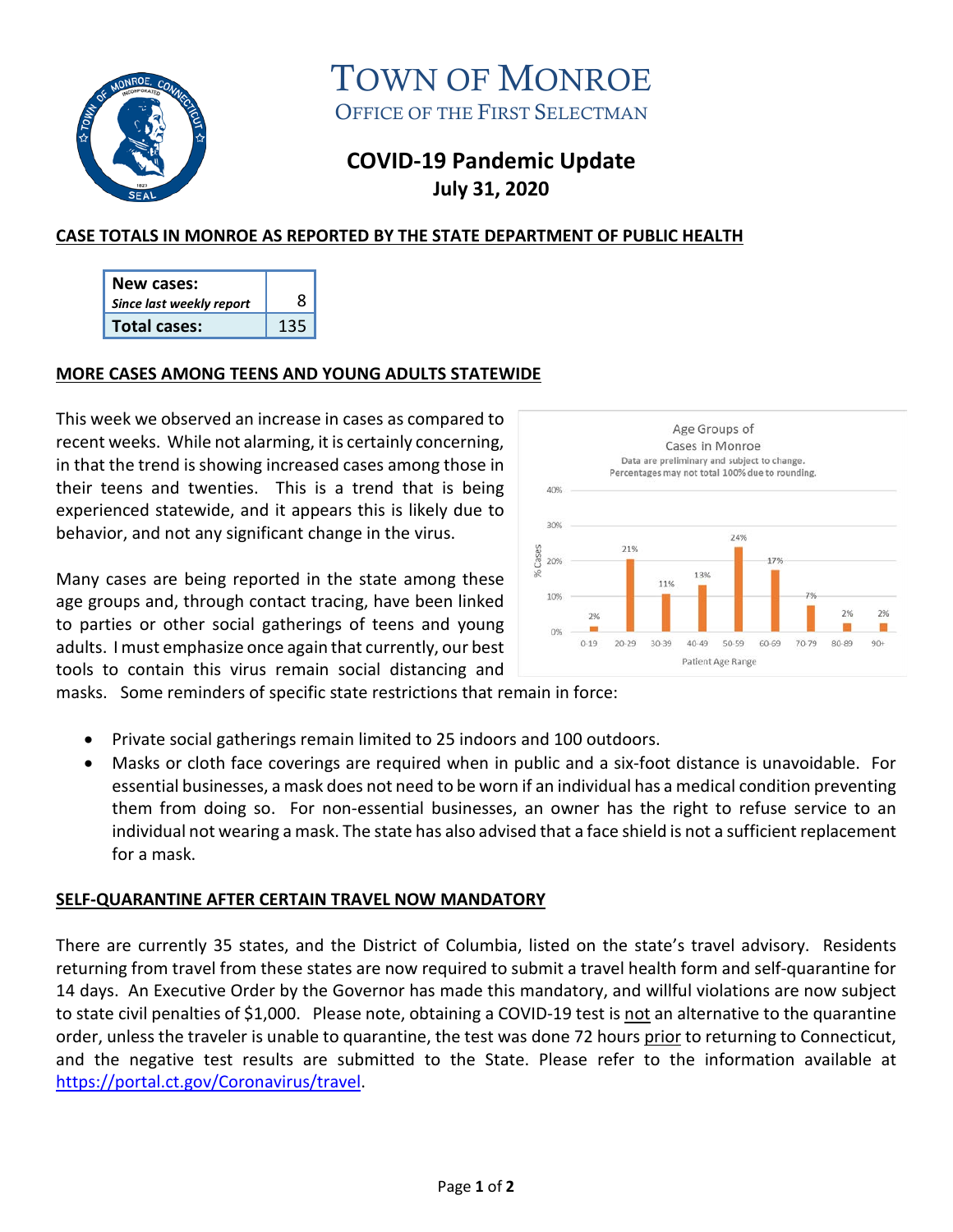

TOWN OF MONROE OFFICE OF THE FIRST SELECTMAN

# **COVID-19 Pandemic Update July 31, 2020**

## **CASE TOTALS IN MONROE AS REPORTED BY THE STATE DEPARTMENT OF PUBLIC HEALTH**

| New cases:               |     |
|--------------------------|-----|
| Since last weekly report |     |
| Total cases:             | 125 |

### **MORE CASES AMONG TEENS AND YOUNG ADULTS STATEWIDE**

This week we observed an increase in cases as compared to recent weeks. While not alarming, it is certainly concerning, in that the trend is showing increased cases among those in their teens and twenties. This is a trend that is being experienced statewide, and it appears this is likely due to behavior, and not any significant change in the virus.

Many cases are being reported in the state among these age groups and, through contact tracing, have been linked to parties or other social gatherings of teens and young adults. I must emphasize once again that currently, our best tools to contain this virus remain social distancing and



masks. Some reminders of specific state restrictions that remain in force:

- Private social gatherings remain limited to 25 indoors and 100 outdoors.
- Masks or cloth face coverings are required when in public and a six-foot distance is unavoidable. For essential businesses, a mask does not need to be worn if an individual has a medical condition preventing them from doing so. For non-essential businesses, an owner has the right to refuse service to an individual not wearing a mask. The state has also advised that a face shield is not a sufficient replacement for a mask.

### **SELF-QUARANTINE AFTER CERTAIN TRAVEL NOW MANDATORY**

There are currently 35 states, and the District of Columbia, listed on the state's travel advisory. Residents returning from travel from these states are now required to submit a travel health form and self-quarantine for 14 days. An Executive Order by the Governor has made this mandatory, and willful violations are now subject to state civil penalties of \$1,000. Please note, obtaining a COVID-19 test is not an alternative to the quarantine order, unless the traveler is unable to quarantine, the test was done 72 hours prior to returning to Connecticut, and the negative test results are submitted to the State. Please refer to the information available at [https://portal.ct.gov/Coronavirus/travel.](https://portal.ct.gov/Coronavirus/travel)